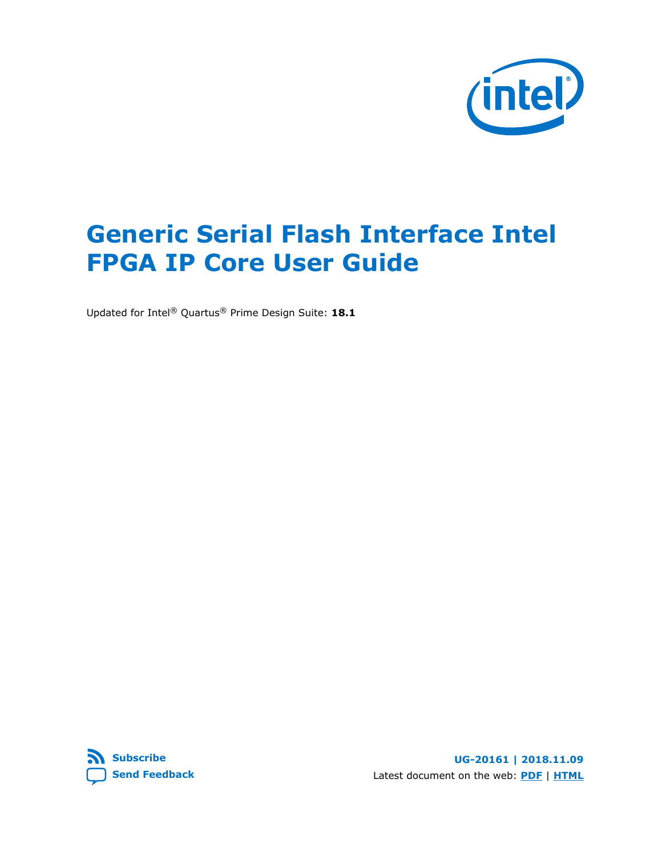

# **Generic Serial Flash Interface Intel FPGA IP Core User Guide**

Updated for Intel® Quartus® Prime Design Suite: **18.1**

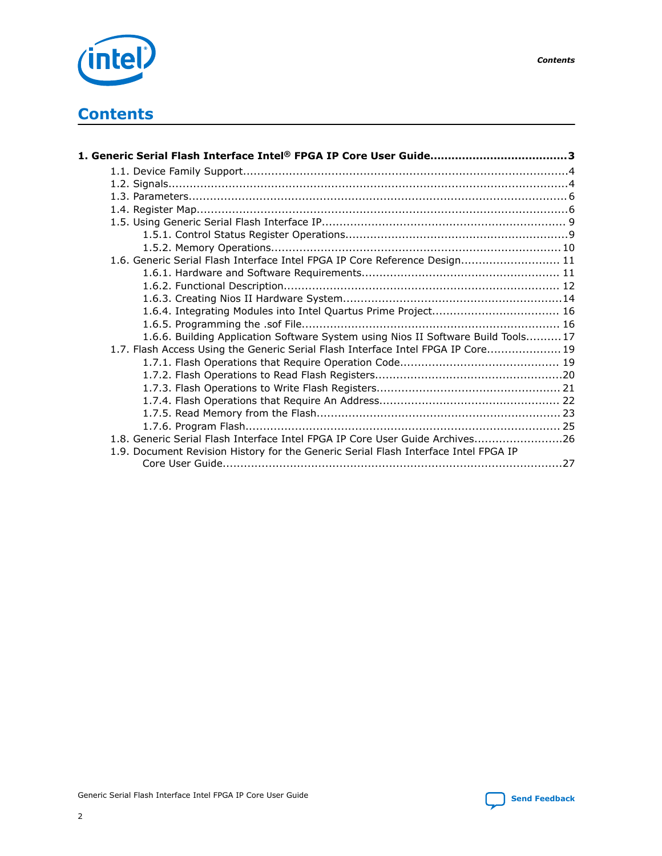

# **Contents**

| 1.6. Generic Serial Flash Interface Intel FPGA IP Core Reference Design 11          |  |
|-------------------------------------------------------------------------------------|--|
|                                                                                     |  |
|                                                                                     |  |
|                                                                                     |  |
|                                                                                     |  |
|                                                                                     |  |
| 1.6.6. Building Application Software System using Nios II Software Build Tools 17   |  |
| 1.7. Flash Access Using the Generic Serial Flash Interface Intel FPGA IP Core 19    |  |
|                                                                                     |  |
|                                                                                     |  |
|                                                                                     |  |
|                                                                                     |  |
|                                                                                     |  |
|                                                                                     |  |
| 1.8. Generic Serial Flash Interface Intel FPGA IP Core User Guide Archives26        |  |
| 1.9. Document Revision History for the Generic Serial Flash Interface Intel FPGA IP |  |
|                                                                                     |  |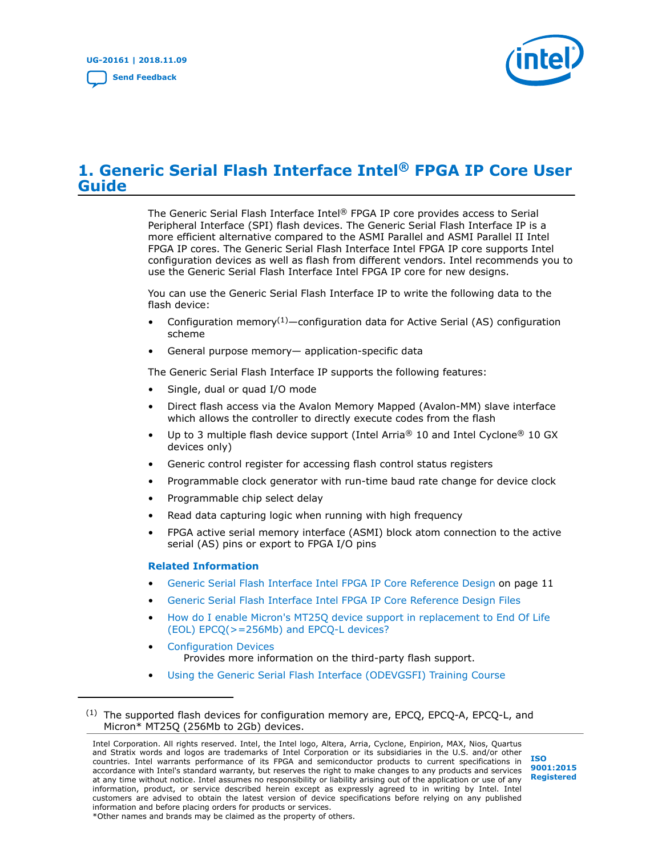

# <span id="page-2-0"></span>**1. Generic Serial Flash Interface Intel® FPGA IP Core User Guide**

The Generic Serial Flash Interface Intel® FPGA IP core provides access to Serial Peripheral Interface (SPI) flash devices. The Generic Serial Flash Interface IP is a more efficient alternative compared to the ASMI Parallel and ASMI Parallel II Intel FPGA IP cores. The Generic Serial Flash Interface Intel FPGA IP core supports Intel configuration devices as well as flash from different vendors. Intel recommends you to use the Generic Serial Flash Interface Intel FPGA IP core for new designs.

You can use the Generic Serial Flash Interface IP to write the following data to the flash device:

- Configuration memory<sup>(1)</sup>—configuration data for Active Serial (AS) configuration scheme
- General purpose memory— application-specific data

The Generic Serial Flash Interface IP supports the following features:

- Single, dual or quad I/O mode
- Direct flash access via the Avalon Memory Mapped (Avalon-MM) slave interface which allows the controller to directly execute codes from the flash
- Up to 3 multiple flash device support (Intel Arria<sup>®</sup> 10 and Intel Cyclone<sup>®</sup> 10 GX devices only)
- Generic control register for accessing flash control status registers
- Programmable clock generator with run-time baud rate change for device clock
- Programmable chip select delay
- Read data capturing logic when running with high frequency
- FPGA active serial memory interface (ASMI) block atom connection to the active serial (AS) pins or export to FPGA I/O pins

#### **Related Information**

- [Generic Serial Flash Interface Intel FPGA IP Core Reference Design](#page-10-0) on page 11
- [Generic Serial Flash Interface Intel FPGA IP Core Reference Design Files](https://cloud.altera.com/devstore/platform/2179/)
- [How do I enable Micron's MT25Q device support in replacement to End Of Life](https://www.altera.com/support/support-resources/knowledge-base/component/2018/how-do-i-enable-micron-s-mt25q-support-for-eol-of-epcq---256mb--.html?cq_ck=1522223941654) [\(EOL\) EPCQ\(>=256Mb\) and EPCQ-L devices?](https://www.altera.com/support/support-resources/knowledge-base/component/2018/how-do-i-enable-micron-s-mt25q-support-for-eol-of-epcq---256mb--.html?cq_ck=1522223941654)
- [Configuration Devices](https://www.intel.com/content/www/us/en/products/programmable/configuration-device.html) Provides more information on the third-party flash support.
- [Using the Generic Serial Flash Interface \(ODEVGSFI\) Training Course](https://www.intel.com/content/www/us/en/programmable/support/training/course/odevgsfi.html)

Intel Corporation. All rights reserved. Intel, the Intel logo, Altera, Arria, Cyclone, Enpirion, MAX, Nios, Quartus and Stratix words and logos are trademarks of Intel Corporation or its subsidiaries in the U.S. and/or other countries. Intel warrants performance of its FPGA and semiconductor products to current specifications in accordance with Intel's standard warranty, but reserves the right to make changes to any products and services at any time without notice. Intel assumes no responsibility or liability arising out of the application or use of any information, product, or service described herein except as expressly agreed to in writing by Intel. Intel customers are advised to obtain the latest version of device specifications before relying on any published information and before placing orders for products or services. \*Other names and brands may be claimed as the property of others.



 $(1)$  The supported flash devices for configuration memory are, EPCQ, EPCQ-A, EPCQ-L, and Micron\* MT25Q (256Mb to 2Gb) devices.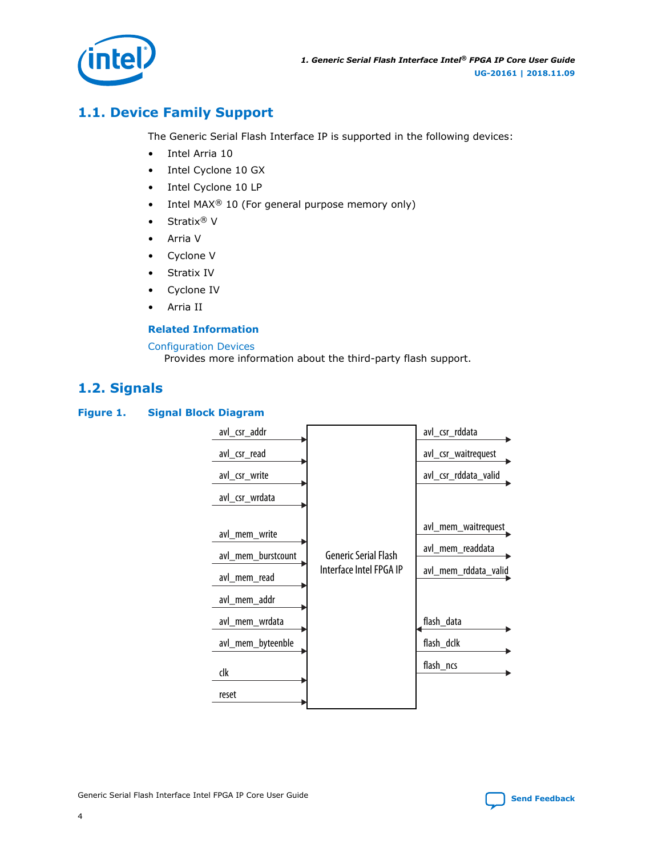<span id="page-3-0"></span>

# **1.1. Device Family Support**

The Generic Serial Flash Interface IP is supported in the following devices:

- Intel Arria 10
- Intel Cyclone 10 GX
- Intel Cyclone 10 LP
- Intel MAX<sup>®</sup> 10 (For general purpose memory only)
- Stratix<sup>®</sup> V
- Arria V
- Cyclone V
- Stratix IV
- Cyclone IV
- Arria II

#### **Related Information**

#### [Configuration Devices](https://www.intel.com/content/www/us/en/products/programmable/configuration-device.html)

Provides more information about the third-party flash support.

# **1.2. Signals**

#### **Figure 1. Signal Block Diagram**

| avl_csr_addr                                                                                                      |                                                        | avl_csr_rddata                                                                                           |
|-------------------------------------------------------------------------------------------------------------------|--------------------------------------------------------|----------------------------------------------------------------------------------------------------------|
| avl_csr_read                                                                                                      |                                                        | avl_csr_waitrequest                                                                                      |
| avl_csr_write                                                                                                     |                                                        | avl_csr_rddata_valid                                                                                     |
| avl_csr_wrdata                                                                                                    |                                                        |                                                                                                          |
| avl_mem_write<br>avl_mem_burstcount<br>avl_mem_read<br>avl_mem_addr<br>avl_mem_wrdata<br>avl_mem_byteenble<br>clk | <b>Generic Serial Flash</b><br>Interface Intel FPGA IP | avl_mem_waitrequest<br>avl_mem_readdata<br>avl_mem_rddata_valid<br>flash_data<br>flash_dclk<br>flash_ncs |
| reset                                                                                                             |                                                        |                                                                                                          |

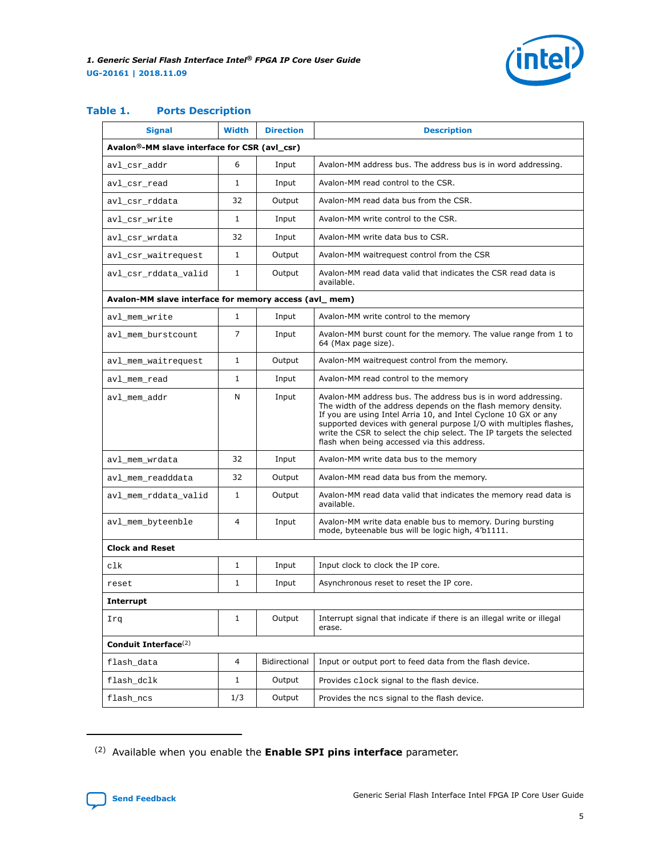

## **Table 1. Ports Description**

| <b>Signal</b>                                             | <b>Width</b> | <b>Direction</b> | <b>Description</b>                                                                                                                                                                                                                                                                                                                                                                             |
|-----------------------------------------------------------|--------------|------------------|------------------------------------------------------------------------------------------------------------------------------------------------------------------------------------------------------------------------------------------------------------------------------------------------------------------------------------------------------------------------------------------------|
| Avalon <sup>®</sup> -MM slave interface for CSR (avl_csr) |              |                  |                                                                                                                                                                                                                                                                                                                                                                                                |
| avl_csr_addr                                              | 6            | Input            | Avalon-MM address bus. The address bus is in word addressing.                                                                                                                                                                                                                                                                                                                                  |
| avl_csr_read                                              | $\mathbf{1}$ | Input            | Avalon-MM read control to the CSR.                                                                                                                                                                                                                                                                                                                                                             |
| avl_csr_rddata                                            | 32           | Output           | Avalon-MM read data bus from the CSR.                                                                                                                                                                                                                                                                                                                                                          |
| avl_csr_write                                             | $\mathbf{1}$ | Input            | Avalon-MM write control to the CSR.                                                                                                                                                                                                                                                                                                                                                            |
| avl_csr_wrdata                                            | 32           | Input            | Avalon-MM write data bus to CSR.                                                                                                                                                                                                                                                                                                                                                               |
| avl_csr_waitrequest                                       | $\mathbf{1}$ | Output           | Avalon-MM waitrequest control from the CSR                                                                                                                                                                                                                                                                                                                                                     |
| avl_csr_rddata_valid                                      | $\mathbf{1}$ | Output           | Avalon-MM read data valid that indicates the CSR read data is<br>available.                                                                                                                                                                                                                                                                                                                    |
| Avalon-MM slave interface for memory access (avl_mem)     |              |                  |                                                                                                                                                                                                                                                                                                                                                                                                |
| avl_mem_write                                             | $\mathbf{1}$ | Input            | Avalon-MM write control to the memory                                                                                                                                                                                                                                                                                                                                                          |
| avl_mem_burstcount                                        | 7            | Input            | Avalon-MM burst count for the memory. The value range from 1 to<br>64 (Max page size).                                                                                                                                                                                                                                                                                                         |
| avl_mem_waitrequest                                       | $\mathbf{1}$ | Output           | Avalon-MM waitrequest control from the memory.                                                                                                                                                                                                                                                                                                                                                 |
| avl mem read                                              | $\mathbf{1}$ | Input            | Avalon-MM read control to the memory                                                                                                                                                                                                                                                                                                                                                           |
| avl mem addr                                              | N            | Input            | Avalon-MM address bus. The address bus is in word addressing.<br>The width of the address depends on the flash memory density.<br>If you are using Intel Arria 10, and Intel Cyclone 10 GX or any<br>supported devices with general purpose I/O with multiples flashes,<br>write the CSR to select the chip select. The IP targets the selected<br>flash when being accessed via this address. |
| avl_mem_wrdata                                            | 32           | Input            | Avalon-MM write data bus to the memory                                                                                                                                                                                                                                                                                                                                                         |
| avl_mem_readddata                                         | 32           | Output           | Avalon-MM read data bus from the memory.                                                                                                                                                                                                                                                                                                                                                       |
| avl_mem_rddata_valid                                      | $\mathbf{1}$ | Output           | Avalon-MM read data valid that indicates the memory read data is<br>available.                                                                                                                                                                                                                                                                                                                 |
| avl_mem_byteenble                                         | 4            | Input            | Avalon-MM write data enable bus to memory. During bursting<br>mode, byteenable bus will be logic high, 4'b1111.                                                                                                                                                                                                                                                                                |
| <b>Clock and Reset</b>                                    |              |                  |                                                                                                                                                                                                                                                                                                                                                                                                |
| clk                                                       | 1            | Input            | Input clock to clock the IP core.                                                                                                                                                                                                                                                                                                                                                              |
| reset                                                     | 1            | Input            | Asynchronous reset to reset the IP core.                                                                                                                                                                                                                                                                                                                                                       |
| <b>Interrupt</b>                                          |              |                  |                                                                                                                                                                                                                                                                                                                                                                                                |
| Irq                                                       | 1            | Output           | Interrupt signal that indicate if there is an illegal write or illegal<br>erase.                                                                                                                                                                                                                                                                                                               |
| Conduit Interface <sup>(2)</sup>                          |              |                  |                                                                                                                                                                                                                                                                                                                                                                                                |
| flash_data                                                | 4            | Bidirectional    | Input or output port to feed data from the flash device.                                                                                                                                                                                                                                                                                                                                       |
| flash_dclk                                                | 1            | Output           | Provides clock signal to the flash device.                                                                                                                                                                                                                                                                                                                                                     |
| flash_ncs                                                 | 1/3          | Output           | Provides the ncs signal to the flash device.                                                                                                                                                                                                                                                                                                                                                   |

<sup>(2)</sup> Available when you enable the **Enable SPI pins interface** parameter.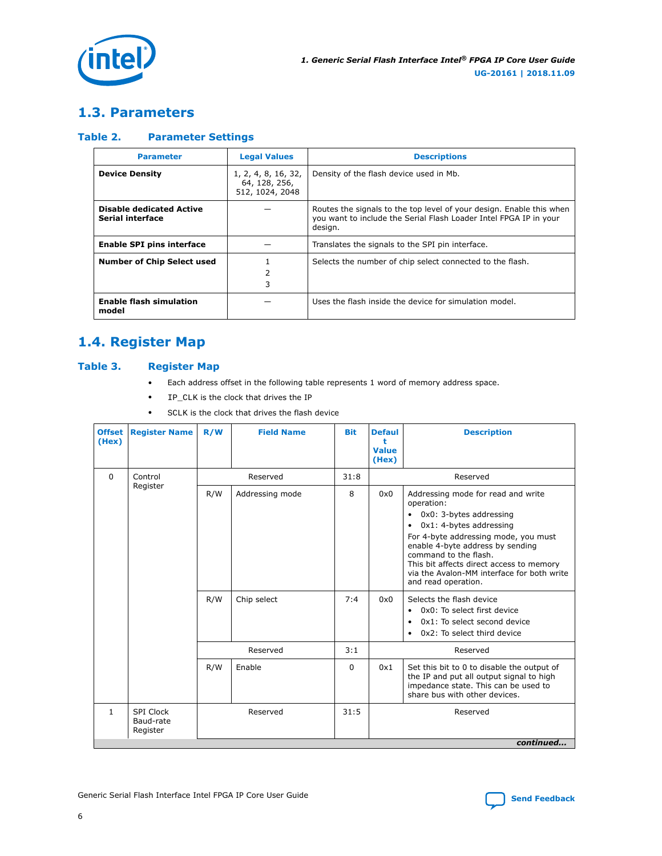<span id="page-5-0"></span>

# **1.3. Parameters**

#### **Table 2. Parameter Settings**

| <b>Parameter</b>                                    | <b>Legal Values</b>                                     | <b>Descriptions</b>                                                                                                                                  |
|-----------------------------------------------------|---------------------------------------------------------|------------------------------------------------------------------------------------------------------------------------------------------------------|
| <b>Device Density</b>                               | 1, 2, 4, 8, 16, 32,<br>64, 128, 256,<br>512, 1024, 2048 | Density of the flash device used in Mb.                                                                                                              |
| <b>Disable dedicated Active</b><br>Serial interface |                                                         | Routes the signals to the top level of your design. Enable this when<br>you want to include the Serial Flash Loader Intel FPGA IP in your<br>design. |
| <b>Enable SPI pins interface</b>                    |                                                         | Translates the signals to the SPI pin interface.                                                                                                     |
| <b>Number of Chip Select used</b>                   | 2<br>3                                                  | Selects the number of chip select connected to the flash.                                                                                            |
| <b>Enable flash simulation</b><br>model             |                                                         | Uses the flash inside the device for simulation model.                                                                                               |

# **1.4. Register Map**

#### **Table 3. Register Map**

- Each address offset in the following table represents 1 word of memory address space.
- IP\_CLK is the clock that drives the IP
- SCLK is the clock that drives the flash device

| <b>Offset</b><br>(Hex) | <b>Register Name</b>               | R/W        | <b>Field Name</b>              | <b>Bit</b> | <b>Defaul</b><br>۰<br>Value<br>(Hex) | <b>Description</b>                                                                                                                                                                                                                                                                                                                                                                                                                                                                                 |
|------------------------|------------------------------------|------------|--------------------------------|------------|--------------------------------------|----------------------------------------------------------------------------------------------------------------------------------------------------------------------------------------------------------------------------------------------------------------------------------------------------------------------------------------------------------------------------------------------------------------------------------------------------------------------------------------------------|
| $\Omega$               | Control                            |            | Reserved                       | 31:8       |                                      | Reserved                                                                                                                                                                                                                                                                                                                                                                                                                                                                                           |
|                        | Register                           | R/W<br>R/W | Addressing mode<br>Chip select | 8<br>7:4   | 0x0<br>0x0                           | Addressing mode for read and write<br>operation:<br>0x0: 3-bytes addressing<br>٠<br>0x1: 4-bytes addressing<br>$\bullet$<br>For 4-byte addressing mode, you must<br>enable 4-byte address by sending<br>command to the flash.<br>This bit affects direct access to memory<br>via the Avalon-MM interface for both write<br>and read operation.<br>Selects the flash device<br>0x0: To select first device<br>$\bullet$<br>0x1: To select second device<br>$\bullet$<br>0x2: To select third device |
|                        |                                    |            |                                |            |                                      |                                                                                                                                                                                                                                                                                                                                                                                                                                                                                                    |
|                        |                                    |            | Reserved                       | 3:1        |                                      | Reserved                                                                                                                                                                                                                                                                                                                                                                                                                                                                                           |
|                        |                                    | R/W        | Enable                         | $\Omega$   | 0x1                                  | Set this bit to 0 to disable the output of<br>the IP and put all output signal to high<br>impedance state. This can be used to<br>share bus with other devices.                                                                                                                                                                                                                                                                                                                                    |
| $\mathbf{1}$           | SPI Clock<br>Baud-rate<br>Register |            | Reserved                       | 31:5       |                                      | Reserved                                                                                                                                                                                                                                                                                                                                                                                                                                                                                           |
|                        |                                    |            |                                |            |                                      | continued                                                                                                                                                                                                                                                                                                                                                                                                                                                                                          |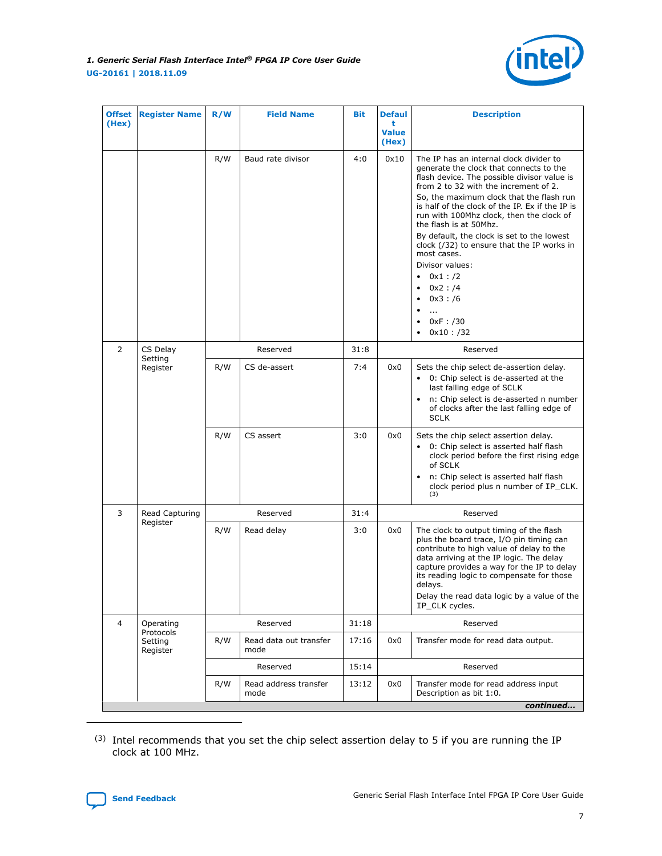

| <b>Offset</b><br>(Hex) | <b>Register Name</b>             | R/W | <b>Field Name</b>              | <b>Bit</b> | <b>Defaul</b><br>t<br><b>Value</b><br>(Hex) | <b>Description</b>                                                                                                                                                                                                                                                                                                                                                                                                                                                                                                                                            |
|------------------------|----------------------------------|-----|--------------------------------|------------|---------------------------------------------|---------------------------------------------------------------------------------------------------------------------------------------------------------------------------------------------------------------------------------------------------------------------------------------------------------------------------------------------------------------------------------------------------------------------------------------------------------------------------------------------------------------------------------------------------------------|
|                        |                                  | R/W | Baud rate divisor              | 4:0        | 0x10                                        | The IP has an internal clock divider to<br>generate the clock that connects to the<br>flash device. The possible divisor value is<br>from 2 to 32 with the increment of 2.<br>So, the maximum clock that the flash run<br>is half of the clock of the IP. Ex if the IP is<br>run with 100Mhz clock, then the clock of<br>the flash is at 50Mhz.<br>By default, the clock is set to the lowest<br>clock (/32) to ensure that the IP works in<br>most cases.<br>Divisor values:<br>$0x1$ : $/2$<br>0x2 : /4<br>0x3: /6<br>$\cdots$<br>0xF : /30<br>$0x10$ : /32 |
| 2                      | CS Delay                         |     | Reserved                       | 31:8       |                                             | Reserved                                                                                                                                                                                                                                                                                                                                                                                                                                                                                                                                                      |
|                        | Setting<br>Register              | R/W | CS de-assert                   | 7:4        | 0x0                                         | Sets the chip select de-assertion delay.<br>• 0: Chip select is de-asserted at the<br>last falling edge of SCLK<br>n: Chip select is de-asserted n number<br>of clocks after the last falling edge of<br>SCLK                                                                                                                                                                                                                                                                                                                                                 |
|                        |                                  | R/W | CS assert                      | 3:0        | 0x0                                         | Sets the chip select assertion delay.<br>0: Chip select is asserted half flash<br>clock period before the first rising edge<br>of SCLK<br>n: Chip select is asserted half flash<br>clock period plus n number of IP_CLK.<br>(3)                                                                                                                                                                                                                                                                                                                               |
| 3                      | Read Capturing                   |     | Reserved                       | 31:4       |                                             | Reserved                                                                                                                                                                                                                                                                                                                                                                                                                                                                                                                                                      |
|                        | Register                         | R/W | Read delay                     | 3:0        | 0x0                                         | The clock to output timing of the flash<br>plus the board trace, I/O pin timing can<br>contribute to high value of delay to the<br>data arriving at the IP logic. The delay<br>capture provides a way for the IP to delay<br>its reading logic to compensate for those<br>delays.<br>Delay the read data logic by a value of the<br>IP_CLK cycles.                                                                                                                                                                                                            |
| 4                      | Operating                        |     | Reserved                       | 31:18      |                                             | Reserved                                                                                                                                                                                                                                                                                                                                                                                                                                                                                                                                                      |
|                        | Protocols<br>Setting<br>Register | R/W | Read data out transfer<br>mode | 17:16      | 0x0                                         | Transfer mode for read data output.                                                                                                                                                                                                                                                                                                                                                                                                                                                                                                                           |
|                        |                                  |     | Reserved                       | 15:14      |                                             | Reserved                                                                                                                                                                                                                                                                                                                                                                                                                                                                                                                                                      |
|                        |                                  | R/W | Read address transfer<br>mode  | 13:12      | 0x0                                         | Transfer mode for read address input<br>Description as bit 1:0.                                                                                                                                                                                                                                                                                                                                                                                                                                                                                               |
|                        |                                  |     |                                |            |                                             | continued                                                                                                                                                                                                                                                                                                                                                                                                                                                                                                                                                     |

(3) Intel recommends that you set the chip select assertion delay to 5 if you are running the IP clock at 100 MHz.

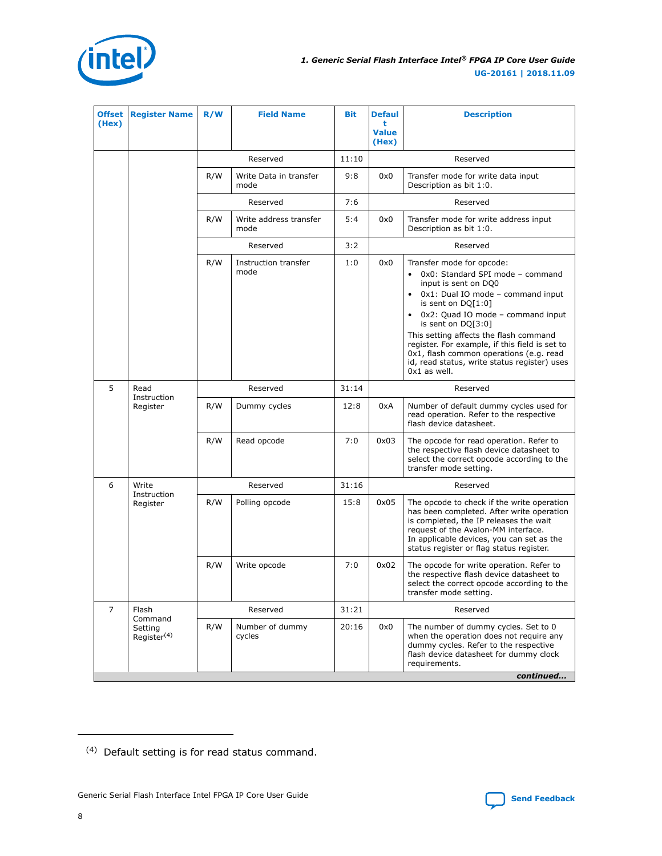

| <b>Offset</b><br>(Hex) | <b>Register Name</b>               | R/W | <b>Field Name</b>              | <b>Bit</b> | <b>Defaul</b><br>t<br><b>Value</b><br>(Hex) | <b>Description</b>                                                                                                                                                                                                                                                                                                                                                                                                       |  |  |  |  |
|------------------------|------------------------------------|-----|--------------------------------|------------|---------------------------------------------|--------------------------------------------------------------------------------------------------------------------------------------------------------------------------------------------------------------------------------------------------------------------------------------------------------------------------------------------------------------------------------------------------------------------------|--|--|--|--|
|                        |                                    |     | Reserved                       | 11:10      |                                             | Reserved                                                                                                                                                                                                                                                                                                                                                                                                                 |  |  |  |  |
|                        |                                    | R/W | Write Data in transfer<br>mode | 9:8        | 0x0                                         | Transfer mode for write data input<br>Description as bit 1:0.                                                                                                                                                                                                                                                                                                                                                            |  |  |  |  |
|                        |                                    |     | Reserved                       | 7:6        |                                             | Reserved                                                                                                                                                                                                                                                                                                                                                                                                                 |  |  |  |  |
|                        |                                    | R/W | Write address transfer<br>mode | 5:4        | 0x0                                         | Transfer mode for write address input<br>Description as bit 1:0.                                                                                                                                                                                                                                                                                                                                                         |  |  |  |  |
|                        |                                    |     | Reserved                       | 3:2        |                                             | Reserved                                                                                                                                                                                                                                                                                                                                                                                                                 |  |  |  |  |
|                        |                                    | R/W | Instruction transfer<br>mode   | 1:0        | 0x0                                         | Transfer mode for opcode:<br>0x0: Standard SPI mode - command<br>input is sent on DQ0<br>0x1: Dual IO mode - command input<br>is sent on $DQ[1:0]$<br>• 0x2: Quad IO mode - command input<br>is sent on DQ[3:0]<br>This setting affects the flash command<br>register. For example, if this field is set to<br>0x1, flash common operations (e.g. read<br>id, read status, write status register) uses<br>$0x1$ as well. |  |  |  |  |
| 5                      | Read                               |     | Reserved                       | 31:14      |                                             | Reserved                                                                                                                                                                                                                                                                                                                                                                                                                 |  |  |  |  |
|                        | Instruction<br>Register            | R/W | Dummy cycles                   | 12:8       | 0xA                                         | Number of default dummy cycles used for<br>read operation. Refer to the respective<br>flash device datasheet.                                                                                                                                                                                                                                                                                                            |  |  |  |  |
|                        |                                    | R/W | Read opcode                    | 7:0        | 0x03                                        | The opcode for read operation. Refer to<br>the respective flash device datasheet to<br>select the correct opcode according to the<br>transfer mode setting.                                                                                                                                                                                                                                                              |  |  |  |  |
| 6                      | Write                              |     | Reserved                       | 31:16      |                                             | Reserved                                                                                                                                                                                                                                                                                                                                                                                                                 |  |  |  |  |
|                        | Instruction<br>Register            | R/W | Polling opcode                 | 15:8       | 0x05                                        | The opcode to check if the write operation<br>has been completed. After write operation<br>is completed, the IP releases the wait<br>request of the Avalon-MM interface.<br>In applicable devices, you can set as the<br>status register or flag status register.                                                                                                                                                        |  |  |  |  |
|                        |                                    | R/W | Write opcode                   | 7:0        | 0x02                                        | The opcode for write operation. Refer to<br>the respective flash device datasheet to<br>select the correct opcode according to the<br>transfer mode setting.                                                                                                                                                                                                                                                             |  |  |  |  |
| $\overline{7}$         | Flash<br>Command                   |     | Reserved                       | 31:21      |                                             | Reserved                                                                                                                                                                                                                                                                                                                                                                                                                 |  |  |  |  |
|                        | Setting<br>Register <sup>(4)</sup> | R/W | Number of dummy<br>cycles      | 20:16      | 0x0                                         | The number of dummy cycles. Set to 0<br>when the operation does not require any<br>dummy cycles. Refer to the respective<br>flash device datasheet for dummy clock<br>requirements.<br>continued                                                                                                                                                                                                                         |  |  |  |  |
|                        |                                    |     |                                |            |                                             |                                                                                                                                                                                                                                                                                                                                                                                                                          |  |  |  |  |

<sup>(4)</sup> Default setting is for read status command.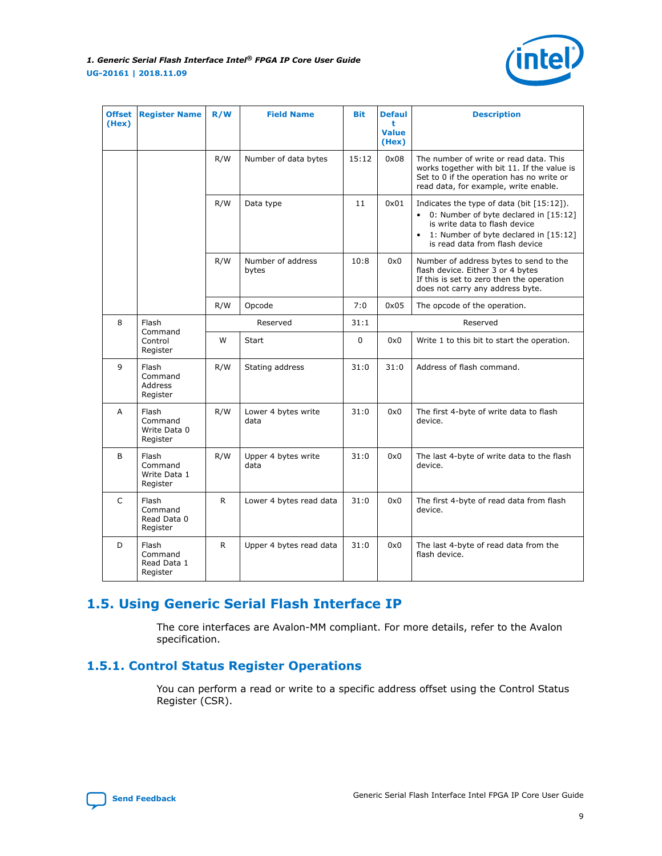

<span id="page-8-0"></span>

| <b>Offset</b><br>(Hex) | <b>Register Name</b>                         | R/W | <b>Field Name</b>           | <b>Bit</b> | <b>Defaul</b><br>t<br><b>Value</b><br>(Hex) | <b>Description</b>                                                                                                                                                                                    |
|------------------------|----------------------------------------------|-----|-----------------------------|------------|---------------------------------------------|-------------------------------------------------------------------------------------------------------------------------------------------------------------------------------------------------------|
|                        |                                              | R/W | Number of data bytes        | 15:12      | 0x08                                        | The number of write or read data. This<br>works together with bit 11. If the value is<br>Set to 0 if the operation has no write or<br>read data, for example, write enable.                           |
|                        |                                              | R/W | Data type                   | 11         | 0x01                                        | Indicates the type of data (bit $[15:12]$ ).<br>• 0: Number of byte declared in [15:12]<br>is write data to flash device<br>• 1: Number of byte declared in [15:12]<br>is read data from flash device |
|                        |                                              | R/W | Number of address<br>bytes  | 10:8       | 0x0                                         | Number of address bytes to send to the<br>flash device. Either 3 or 4 bytes<br>If this is set to zero then the operation<br>does not carry any address byte.                                          |
|                        |                                              | R/W | Opcode                      | 7:0        | 0x05                                        | The opcode of the operation.                                                                                                                                                                          |
| 8                      | Flash                                        |     | Reserved                    | 31:1       |                                             | Reserved                                                                                                                                                                                              |
|                        | Command<br>Control<br>Register               | W   | <b>Start</b>                | $\Omega$   | 0x0                                         | Write 1 to this bit to start the operation.                                                                                                                                                           |
| 9                      | Flash<br>Command<br>Address<br>Register      | R/W | Stating address             | 31:0       | 31:0                                        | Address of flash command.                                                                                                                                                                             |
| A                      | Flash<br>Command<br>Write Data 0<br>Register | R/W | Lower 4 bytes write<br>data | 31:0       | 0x0                                         | The first 4-byte of write data to flash<br>device.                                                                                                                                                    |
| B                      | Flash<br>Command<br>Write Data 1<br>Register | R/W | Upper 4 bytes write<br>data | 31:0       | 0x0                                         | The last 4-byte of write data to the flash<br>device.                                                                                                                                                 |
| C                      | Flash<br>Command<br>Read Data 0<br>Register  | R.  | Lower 4 bytes read data     | 31:0       | 0x0                                         | The first 4-byte of read data from flash<br>device.                                                                                                                                                   |
| D                      | Flash<br>Command<br>Read Data 1<br>Register  | R.  | Upper 4 bytes read data     | 31:0       | 0x0                                         | The last 4-byte of read data from the<br>flash device.                                                                                                                                                |

# **1.5. Using Generic Serial Flash Interface IP**

The core interfaces are Avalon-MM compliant. For more details, refer to the Avalon specification.

## **1.5.1. Control Status Register Operations**

You can perform a read or write to a specific address offset using the Control Status Register (CSR).

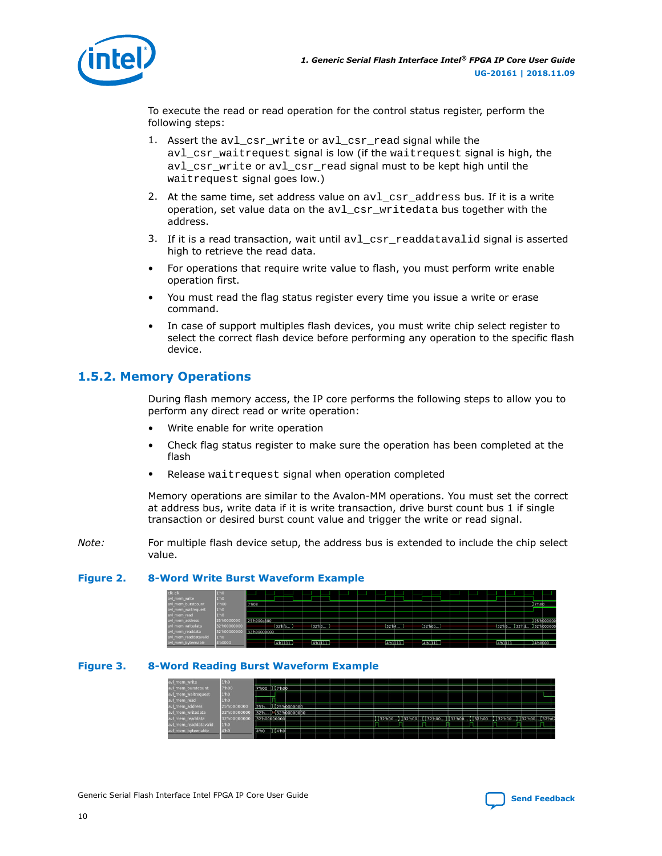<span id="page-9-0"></span>

To execute the read or read operation for the control status register, perform the following steps:

- 1. Assert the avl\_csr\_write or avl\_csr\_read signal while the avl\_csr\_waitrequest signal is low (if the waitrequest signal is high, the avl\_csr\_write or avl\_csr\_read signal must to be kept high until the waitrequest signal goes low.)
- 2. At the same time, set address value on  $avl\_csr\_address$  bus. If it is a write operation, set value data on the avl\_csr\_writedata bus together with the address.
- 3. If it is a read transaction, wait until avl\_csr\_readdatavalid signal is asserted high to retrieve the read data.
- For operations that require write value to flash, you must perform write enable operation first.
- You must read the flag status register every time you issue a write or erase command.
- In case of support multiples flash devices, you must write chip select register to select the correct flash device before performing any operation to the specific flash device.

## **1.5.2. Memory Operations**

During flash memory access, the IP core performs the following steps to allow you to perform any direct read or write operation:

- Write enable for write operation
- Check flag status register to make sure the operation has been completed at the flash
- Release waitrequest signal when operation completed

Memory operations are similar to the Avalon-MM operations. You must set the correct at address bus, write data if it is write transaction, drive burst count bus 1 if single transaction or desired burst count value and trigger the write or read signal.

*Note:* For multiple flash device setup, the address bus is extended to include the chip select value.

#### **Figure 2. 8-Word Write Burst Waveform Example**

| clk_clk               | 1 <sup>th</sup> 0 |              |          |                     |  |          |                      |  |                  |                        |       |           |
|-----------------------|-------------------|--------------|----------|---------------------|--|----------|----------------------|--|------------------|------------------------|-------|-----------|
| avl_mem_write         | 1 <sup>n</sup> h0 |              |          |                     |  |          |                      |  |                  |                        |       |           |
| avl mem burstcount    | 7'h00             | 7'h08        |          |                     |  |          |                      |  |                  |                        | 7 hoo |           |
| avl mem waitrequest   | 1 <sup>th</sup> 0 |              |          |                     |  |          |                      |  |                  |                        |       |           |
| avl_mem_read          | 1 <sup>n</sup> h0 |              |          |                     |  |          |                      |  |                  |                        |       |           |
| avl mem address       | 25'h000000        | 25'h000a800  |          |                     |  |          |                      |  |                  |                        |       | 25 h00000 |
| avl_mem_writedata     | 32'h00000000      |              | (32'hfa  | (32 <sup>n</sup> )3 |  | 32 h4    | (32 <sub>h6b</sub> ) |  |                  | 32 h6 32 hd 32 h000000 |       |           |
| avi mem readdata      | 32'h000000        | 32'h00000000 |          |                     |  |          |                      |  |                  |                        |       |           |
| avl_mem_readdatavalid | 1 <sub>h0</sub>   |              |          |                     |  |          |                      |  |                  |                        |       |           |
| avl_mem_byteenable    | 4'b0000           |              | (4b1111) | 4/611119            |  | (451111) | krыінн               |  | <b>karatismi</b> |                        |       | 14 60000  |

#### **Figure 3. 8-Word Reading Burst Waveform Example**

| avl mem write         | 1 <sup>th</sup> 0 |                  |                     |  |  |  |  |  |  |  |                                                                                      |  |
|-----------------------|-------------------|------------------|---------------------|--|--|--|--|--|--|--|--------------------------------------------------------------------------------------|--|
| avl mem burstcount    | 7'h00             |                  | 7'h00 XX7'h00       |  |  |  |  |  |  |  |                                                                                      |  |
| avl mem waitrequest   | 1 <sup>th</sup> 0 |                  |                     |  |  |  |  |  |  |  |                                                                                      |  |
| avi mem read          | 1 <sup>th</sup> 0 |                  |                     |  |  |  |  |  |  |  |                                                                                      |  |
| avl mem address       | 25'h000000        |                  | (125 h0000000       |  |  |  |  |  |  |  |                                                                                      |  |
| avl mem writedata     | 32'h000000        | 32 <sup>th</sup> | $1 - 32$ 'h00000000 |  |  |  |  |  |  |  |                                                                                      |  |
| avl mem readdata      | 32'h000000        |                  | 32'h00000000        |  |  |  |  |  |  |  | I I 32 h00 I 1 32 h00 I 1 32 h00 I 1 32 h00 I 1 32 h00 I 1 32 h00 I 1 32 h00 I 32 hd |  |
| avi mem readdatavalid | 1'h0              |                  |                     |  |  |  |  |  |  |  |                                                                                      |  |
| avi mem byteenable    | 4 <sup>th</sup> 0 | 14 h 0           | (T4 hol             |  |  |  |  |  |  |  |                                                                                      |  |
|                       |                   |                  |                     |  |  |  |  |  |  |  |                                                                                      |  |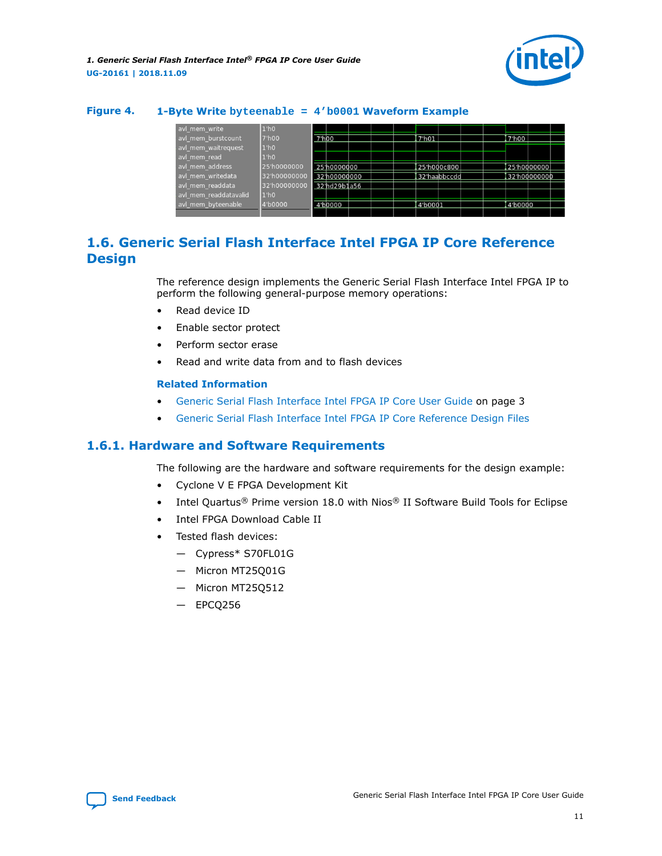

#### <span id="page-10-0"></span>**Figure 4. 1-Byte Write byteenable = 4'b0001 Waveform Example**

| avl mem write         | 1'h0              |                    |              |  |                      |              |         |               |  |
|-----------------------|-------------------|--------------------|--------------|--|----------------------|--------------|---------|---------------|--|
| avl mem burstcount    | 7'h00             | 7 <sup>th</sup> 00 |              |  | 7'h01                |              | 7'h00   |               |  |
| avl mem waitrequest   | 1'h0              |                    |              |  |                      |              |         |               |  |
| avl mem read          | 1 <sup>th</sup> 0 |                    |              |  |                      |              |         |               |  |
| avl mem address       | 25'h0000000       |                    | 25 h0000000  |  |                      | 25'h000c800  |         | 25'h0000000   |  |
| avl mem writedata     | 32'h00000000      |                    | 32'h00000000 |  |                      | 32'haabbccdd |         | 32'h00000000' |  |
| avl mem readdata      | 32'h00000000      |                    | 32'hd29b1a56 |  |                      |              |         |               |  |
| avl mem readdatavalid | 1 <sup>th</sup> 0 |                    |              |  |                      |              |         |               |  |
| avl mem byteenable    | 4'b0000           |                    | 4'b0000      |  | 4 <sub>1</sub> 00001 |              | 4'b0000 |               |  |
|                       |                   |                    |              |  |                      |              |         |               |  |

## **1.6. Generic Serial Flash Interface Intel FPGA IP Core Reference Design**

The reference design implements the Generic Serial Flash Interface Intel FPGA IP to perform the following general-purpose memory operations:

- Read device ID
- Enable sector protect
- Perform sector erase
- Read and write data from and to flash devices

#### **Related Information**

- [Generic Serial Flash Interface Intel FPGA IP Core User Guide](#page-2-0) on page 3
- [Generic Serial Flash Interface Intel FPGA IP Core Reference Design Files](https://cloud.altera.com/devstore/platform/2179/)

#### **1.6.1. Hardware and Software Requirements**

The following are the hardware and software requirements for the design example:

- Cyclone V E FPGA Development Kit
- Intel Quartus<sup>®</sup> Prime version 18.0 with Nios<sup>®</sup> II Software Build Tools for Eclipse
- Intel FPGA Download Cable II
- Tested flash devices:
	- Cypress\* S70FL01G
	- Micron MT25Q01G
	- Micron MT25Q512
	- EPCQ256

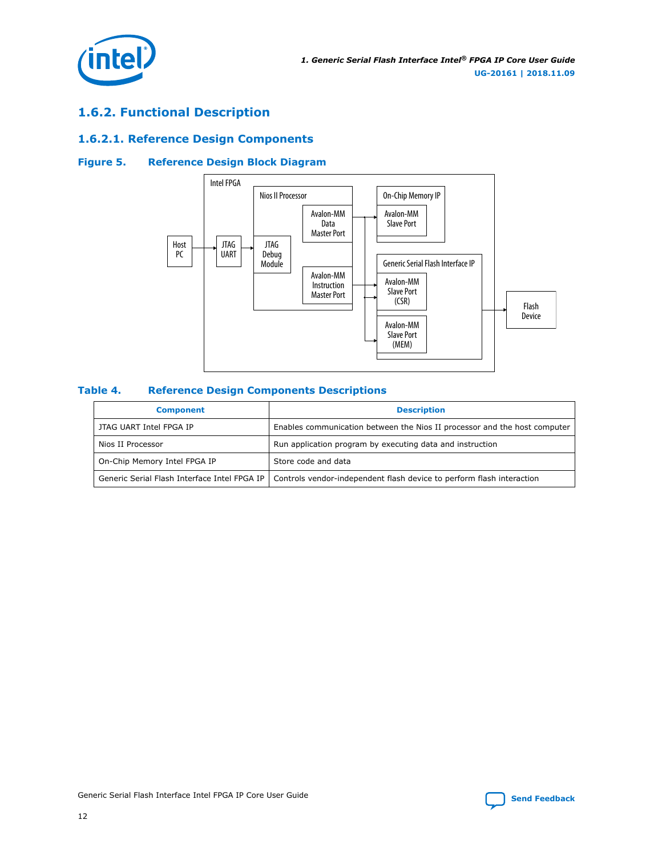<span id="page-11-0"></span>

## **1.6.2. Functional Description**

## **1.6.2.1. Reference Design Components**

#### **Figure 5. Reference Design Block Diagram**



#### **Table 4. Reference Design Components Descriptions**

| <b>Component</b>                             | <b>Description</b>                                                        |
|----------------------------------------------|---------------------------------------------------------------------------|
| JTAG UART Intel FPGA IP                      | Enables communication between the Nios II processor and the host computer |
| Nios II Processor                            | Run application program by executing data and instruction                 |
| On-Chip Memory Intel FPGA IP                 | Store code and data                                                       |
| Generic Serial Flash Interface Intel FPGA IP | Controls vendor-independent flash device to perform flash interaction     |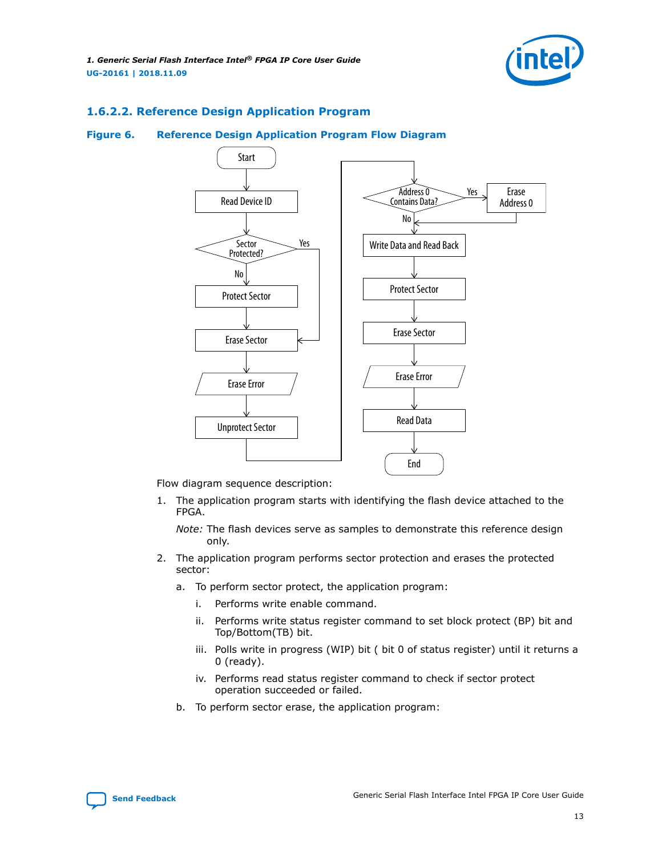

#### **1.6.2.2. Reference Design Application Program**

#### **Figure 6. Reference Design Application Program Flow Diagram**



Flow diagram sequence description:

1. The application program starts with identifying the flash device attached to the FPGA.

*Note:* The flash devices serve as samples to demonstrate this reference design only.

- 2. The application program performs sector protection and erases the protected sector:
	- a. To perform sector protect, the application program:
		- i. Performs write enable command.
		- ii. Performs write status register command to set block protect (BP) bit and Top/Bottom(TB) bit.
		- iii. Polls write in progress (WIP) bit ( bit 0 of status register) until it returns a 0 (ready).
		- iv. Performs read status register command to check if sector protect operation succeeded or failed.
	- b. To perform sector erase, the application program:

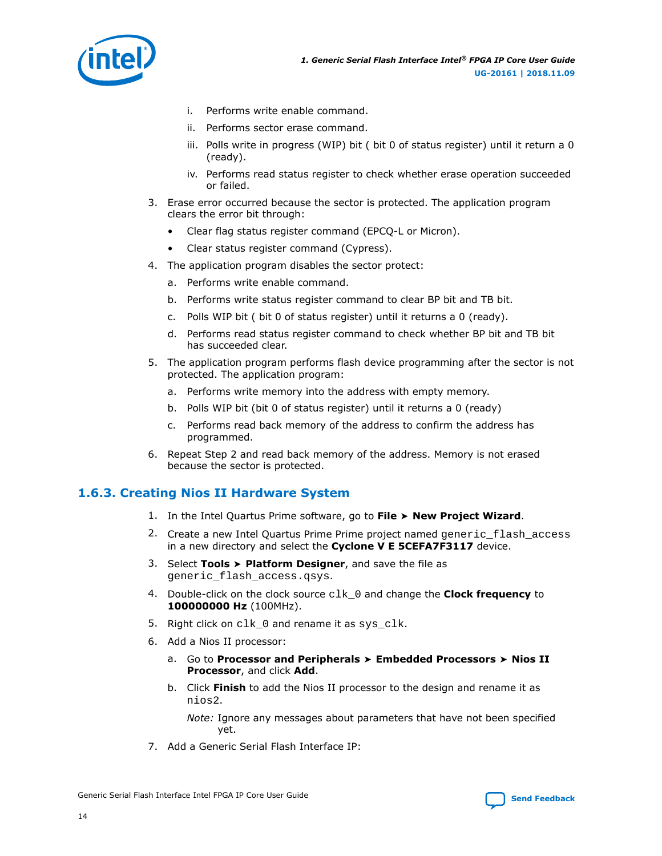<span id="page-13-0"></span>

- i. Performs write enable command.
- ii. Performs sector erase command.
- iii. Polls write in progress (WIP) bit ( bit 0 of status register) until it return a 0 (ready).
- iv. Performs read status register to check whether erase operation succeeded or failed.
- 3. Erase error occurred because the sector is protected. The application program clears the error bit through:
	- Clear flag status register command (EPCQ-L or Micron).
	- Clear status register command (Cypress).
- 4. The application program disables the sector protect:
	- a. Performs write enable command.
	- b. Performs write status register command to clear BP bit and TB bit.
	- c. Polls WIP bit ( bit 0 of status register) until it returns a 0 (ready).
	- d. Performs read status register command to check whether BP bit and TB bit has succeeded clear.
- 5. The application program performs flash device programming after the sector is not protected. The application program:
	- a. Performs write memory into the address with empty memory.
	- b. Polls WIP bit (bit 0 of status register) until it returns a 0 (ready)
	- c. Performs read back memory of the address to confirm the address has programmed.
- 6. Repeat Step 2 and read back memory of the address. Memory is not erased because the sector is protected.

#### **1.6.3. Creating Nios II Hardware System**

- 1. In the Intel Quartus Prime software, go to **File** ➤ **New Project Wizard**.
- 2. Create a new Intel Quartus Prime Prime project named generic flash access in a new directory and select the **Cyclone V E 5CEFA7F3117** device.
- 3. Select **Tools** ➤ **Platform Designer**, and save the file as generic\_flash\_access.qsys.
- 4. Double-click on the clock source clk\_0 and change the **Clock frequency** to **100000000 Hz** (100MHz).
- 5. Right click on clk\_0 and rename it as sys\_clk.
- 6. Add a Nios II processor:
	- a. Go to **Processor and Peripherals** ➤ **Embedded Processors** ➤ **Nios II Processor**, and click **Add**.
	- b. Click **Finish** to add the Nios II processor to the design and rename it as nios2.

*Note:* Ignore any messages about parameters that have not been specified yet.

7. Add a Generic Serial Flash Interface IP: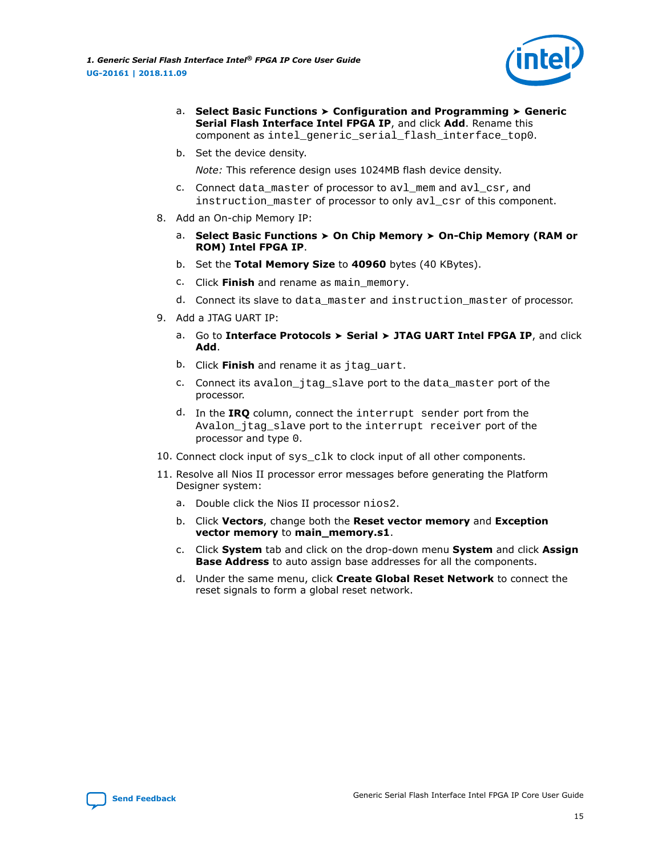

- a. **Select Basic Functions** ➤ **Configuration and Programming** ➤ **Generic Serial Flash Interface Intel FPGA IP**, and click **Add**. Rename this component as intel\_generic\_serial\_flash\_interface\_top0.
- b. Set the device density.

*Note:* This reference design uses 1024MB flash device density.

- c. Connect data master of processor to avl mem and avl csr, and instruction\_master of processor to only avl\_csr of this component.
- 8. Add an On-chip Memory IP:
	- a. **Select Basic Functions** ➤ **On Chip Memory** ➤ **On-Chip Memory (RAM or ROM) Intel FPGA IP**.
	- b. Set the **Total Memory Size** to **40960** bytes (40 KBytes).
	- c. Click **Finish** and rename as main\_memory.
	- d. Connect its slave to data\_master and instruction\_master of processor.
- 9. Add a JTAG UART IP:
	- a. Go to **Interface Protocols** ➤ **Serial** ➤ **JTAG UART Intel FPGA IP**, and click **Add**.
	- b. Click **Finish** and rename it as jtag\_uart.
	- c. Connect its avalon\_jtag\_slave port to the data\_master port of the processor.
	- d. In the **IRQ** column, connect the interrupt sender port from the Avalon\_jtag\_slave port to the interrupt receiver port of the processor and type 0.
- 10. Connect clock input of sys clk to clock input of all other components.
- 11. Resolve all Nios II processor error messages before generating the Platform Designer system:
	- a. Double click the Nios II processor nios2.
	- b. Click **Vectors**, change both the **Reset vector memory** and **Exception vector memory** to **main\_memory.s1**.
	- c. Click **System** tab and click on the drop-down menu **System** and click **Assign Base Address** to auto assign base addresses for all the components.
	- d. Under the same menu, click **Create Global Reset Network** to connect the reset signals to form a global reset network.

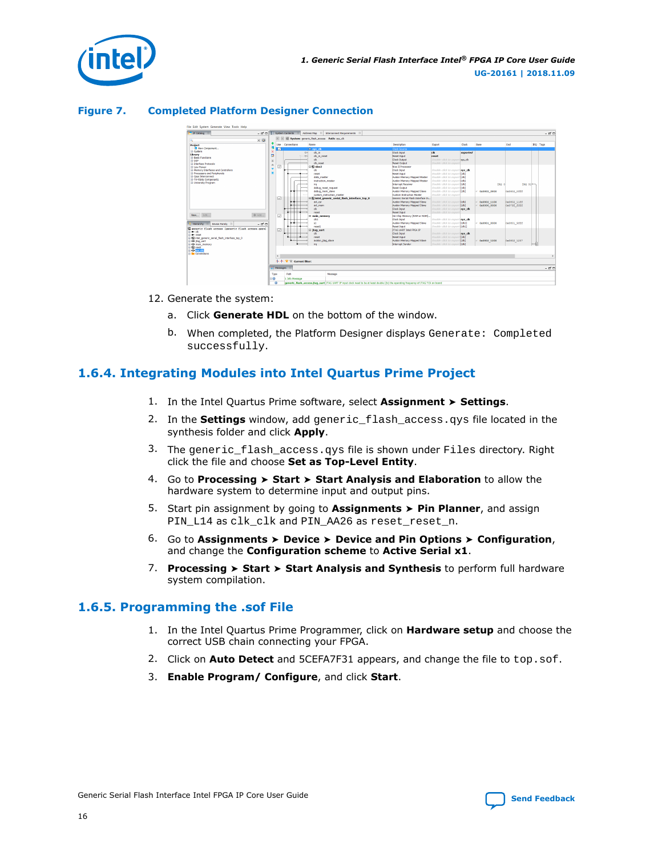<span id="page-15-0"></span>

#### **Figure 7. Completed Platform Designer Connection**



- 12. Generate the system:
	- a. Click **Generate HDL** on the bottom of the window.
	- b. When completed, the Platform Designer displays Generate: Completed successfully.

## **1.6.4. Integrating Modules into Intel Quartus Prime Project**

- 1. In the Intel Quartus Prime software, select **Assignment** ➤ **Settings**.
- 2. In the **Settings** window, add generic\_flash\_access.qys file located in the synthesis folder and click **Apply**.
- 3. The generic\_flash\_access.qys file is shown under Files directory. Right click the file and choose **Set as Top-Level Entity**.
- 4. Go to **Processing** ➤ **Start** ➤ **Start Analysis and Elaboration** to allow the hardware system to determine input and output pins.
- 5. Start pin assignment by going to **Assignments** ➤ **Pin Planner**, and assign PIN\_L14 as clk\_clk and PIN\_AA26 as reset\_reset\_n.
- 6. Go to **Assignments** ➤ **Device** ➤ **Device and Pin Options** ➤ **Configuration**, and change the **Configuration scheme** to **Active Serial x1**.
- 7. **Processing** ➤ **Start** ➤ **Start Analysis and Synthesis** to perform full hardware system compilation.

#### **1.6.5. Programming the .sof File**

- 1. In the Intel Quartus Prime Programmer, click on **Hardware setup** and choose the correct USB chain connecting your FPGA.
- 2. Click on **Auto Detect** and 5CEFA7F31 appears, and change the file to top.sof.
- 3. **Enable Program/ Configure**, and click **Start**.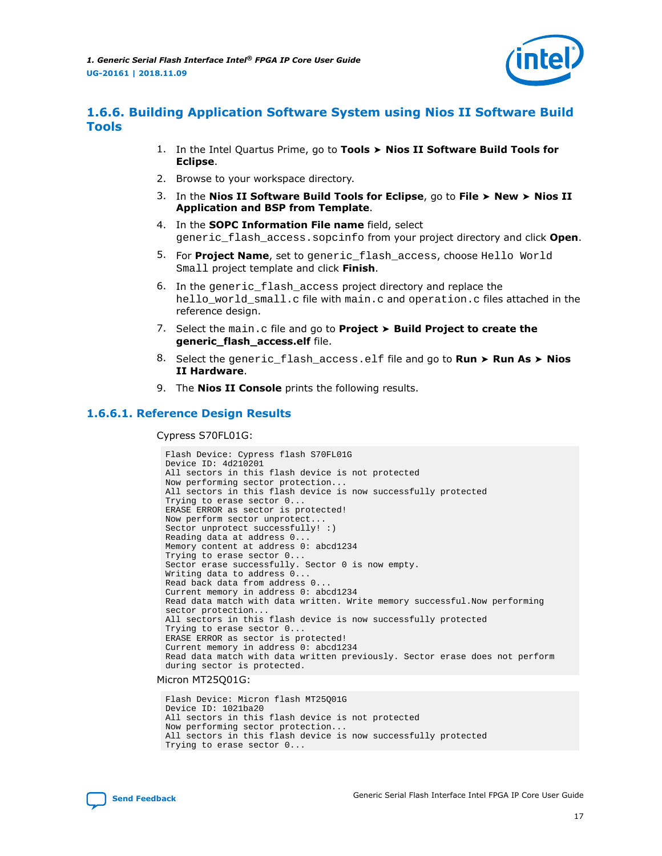

## <span id="page-16-0"></span>**1.6.6. Building Application Software System using Nios II Software Build Tools**

- 1. In the Intel Quartus Prime, go to **Tools** ➤ **Nios II Software Build Tools for Eclipse**.
- 2. Browse to your workspace directory.
- 3. In the **Nios II Software Build Tools for Eclipse**, go to **File** ➤ **New** ➤ **Nios II Application and BSP from Template**.
- 4. In the **SOPC Information File name** field, select generic\_flash\_access.sopcinfo from your project directory and click **Open**.
- 5. For **Project Name**, set to generic\_flash\_access, choose Hello World Small project template and click **Finish**.
- 6. In the generic\_flash\_access project directory and replace the hello\_world\_small.c file with main.c and operation.c files attached in the reference design.
- 7. Select the main.c file and go to **Project** ➤ **Build Project to create the generic\_flash\_access.elf** file.
- 8. Select the generic\_flash\_access.elf file and go to **Run** ➤ **Run As** ➤ **Nios II Hardware**.
- 9. The **Nios II Console** prints the following results.

#### **1.6.6.1. Reference Design Results**

Cypress S70FL01G:

```
Flash Device: Cypress flash S70FL01G
Device ID: 4d210201
All sectors in this flash device is not protected
Now performing sector protection...
All sectors in this flash device is now successfully protected
Trying to erase sector 0...
ERASE ERROR as sector is protected!
Now perform sector unprotect...
Sector unprotect successfully! :)
Reading data at address 0...
Memory content at address 0: abcd1234
Trying to erase sector 0...
Sector erase successfully. Sector 0 is now empty.
Writing data to address 0...
Read back data from address 0...
Current memory in address 0: abcd1234
Read data match with data written. Write memory successful.Now performing 
sector protection...
All sectors in this flash device is now successfully protected
Trying to erase sector 0...
ERASE ERROR as sector is protected!
Current memory in address 0: abcd1234
Read data match with data written previously. Sector erase does not perform 
during sector is protected.
```
Micron MT25Q01G:

Flash Device: Micron flash MT25Q01G Device ID: 1021ba20 All sectors in this flash device is not protected Now performing sector protection... All sectors in this flash device is now successfully protected Trying to erase sector 0...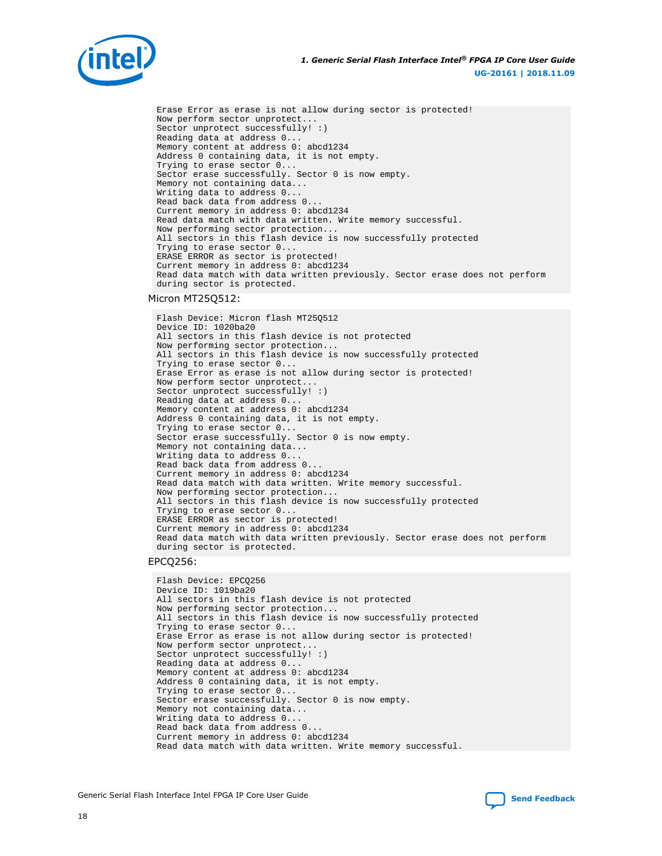

Erase Error as erase is not allow during sector is protected! Now perform sector unprotect... Sector unprotect successfully! :) Reading data at address 0... Memory content at address 0: abcd1234 Address 0 containing data, it is not empty. Trying to erase sector 0... Sector erase successfully. Sector 0 is now empty. Memory not containing data... Writing data to address 0... Read back data from address 0... Current memory in address 0: abcd1234 Read data match with data written. Write memory successful. Now performing sector protection... All sectors in this flash device is now successfully protected Trying to erase sector 0... ERASE ERROR as sector is protected! Current memory in address 0: abcd1234 Read data match with data written previously. Sector erase does not perform during sector is protected.

#### Micron MT25Q512:

Flash Device: Micron flash MT25Q512 Device ID: 1020ba20 All sectors in this flash device is not protected Now performing sector protection... All sectors in this flash device is now successfully protected Trying to erase sector 0... Erase Error as erase is not allow during sector is protected! Now perform sector unprotect... Sector unprotect successfully! :) Reading data at address 0... Memory content at address 0: abcd1234 Address 0 containing data, it is not empty. Trying to erase sector 0... Sector erase successfully. Sector 0 is now empty. Memory not containing data... Writing data to address 0... Read back data from address 0... Current memory in address 0: abcd1234 Read data match with data written. Write memory successful. Now performing sector protection... All sectors in this flash device is now successfully protected Trying to erase sector 0... ERASE ERROR as sector is protected! Current memory in address 0: abcd1234 Read data match with data written previously. Sector erase does not perform during sector is protected.

#### EPCQ256:

Flash Device: EPCQ256 Device ID: 1019ba20 All sectors in this flash device is not protected Now performing sector protection... All sectors in this flash device is now successfully protected Trying to erase sector 0... Erase Error as erase is not allow during sector is protected! Now perform sector unprotect... Sector unprotect successfully! :) Reading data at address 0... Memory content at address 0: abcd1234 Address 0 containing data, it is not empty. Trying to erase sector 0... Sector erase successfully. Sector 0 is now empty. Memory not containing data... Writing data to address 0... Read back data from address 0... Current memory in address 0: abcd1234 Read data match with data written. Write memory successful.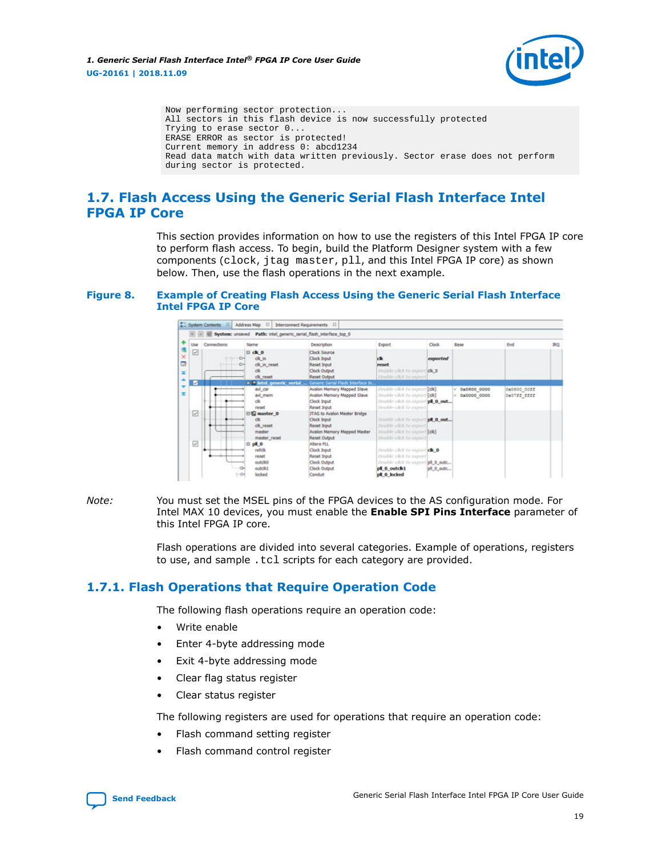

<span id="page-18-0"></span>Now performing sector protection... All sectors in this flash device is now successfully protected Trying to erase sector 0... ERASE ERROR as sector is protected! Current memory in address 0: abcd1234 Read data match with data written previously. Sector erase does not perform during sector is protected.

# **1.7. Flash Access Using the Generic Serial Flash Interface Intel FPGA IP Core**

This section provides information on how to use the registers of this Intel FPGA IP core to perform flash access. To begin, build the Platform Designer system with a few components (clock, jtag master, pll, and this Intel FPGA IP core) as shown below. Then, use the flash operations in the next example.

#### **Figure 8. Example of Creating Flash Access Using the Generic Serial Flash Interface Intel FPGA IP Core**



#### *Note:* You must set the MSEL pins of the FPGA devices to the AS configuration mode. For Intel MAX 10 devices, you must enable the **Enable SPI Pins Interface** parameter of this Intel FPGA IP core.

Flash operations are divided into several categories. Example of operations, registers to use, and sample .tcl scripts for each category are provided.

## **1.7.1. Flash Operations that Require Operation Code**

The following flash operations require an operation code:

- Write enable
- Enter 4-byte addressing mode
- Exit 4-byte addressing mode
- Clear flag status register
- Clear status register

The following registers are used for operations that require an operation code:

- Flash command setting register
- Flash command control register

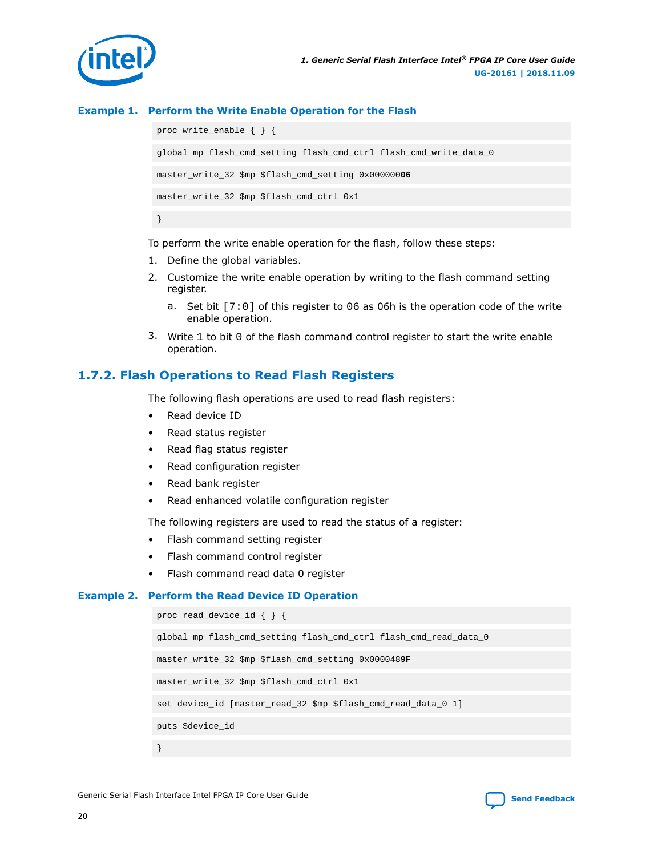<span id="page-19-0"></span>

#### **Example 1. Perform the Write Enable Operation for the Flash**

proc write\_enable { } { global mp flash\_cmd\_setting flash\_cmd\_ctrl flash\_cmd\_write\_data\_0 master\_write\_32 \$mp \$flash\_cmd\_setting 0x000000**06** master\_write\_32 \$mp \$flash\_cmd\_ctrl 0x1 }

To perform the write enable operation for the flash, follow these steps:

- 1. Define the global variables.
- 2. Customize the write enable operation by writing to the flash command setting register.
	- a. Set bit [7:0] of this register to 06 as 06h is the operation code of the write enable operation.
- 3. Write 1 to bit 0 of the flash command control register to start the write enable operation.

#### **1.7.2. Flash Operations to Read Flash Registers**

The following flash operations are used to read flash registers:

- Read device ID
- Read status register
- Read flag status register
- Read configuration register
- Read bank register
- Read enhanced volatile configuration register

The following registers are used to read the status of a register:

- Flash command setting register
- Flash command control register
- Flash command read data 0 register

#### **Example 2. Perform the Read Device ID Operation**

```
proc read_device_id { } {
global mp flash_cmd_setting flash_cmd_ctrl flash_cmd_read_data_0
master_write_32 $mp $flash_cmd_setting 0x0000489F
master_write_32 $mp $flash_cmd_ctrl 0x1
set device_id [master_read_32 $mp $flash_cmd_read_data_0 1]
puts $device_id
}
```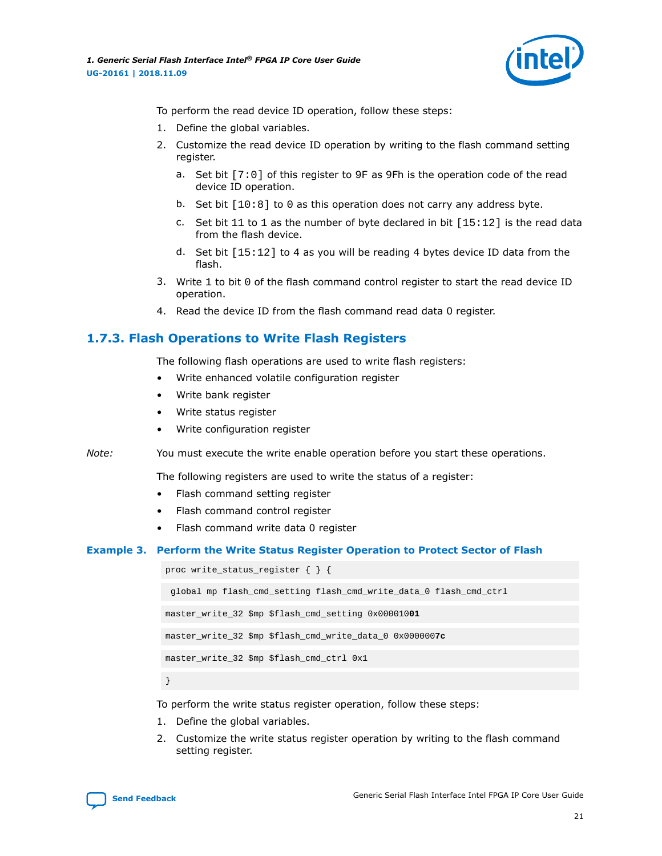

<span id="page-20-0"></span>To perform the read device ID operation, follow these steps:

- 1. Define the global variables.
- 2. Customize the read device ID operation by writing to the flash command setting register.
	- a. Set bit [7:0] of this register to 9F as 9Fh is the operation code of the read device ID operation.
	- b. Set bit [10:8] to 0 as this operation does not carry any address byte.
	- c. Set bit  $11$  to  $1$  as the number of byte declared in bit  $[15:12]$  is the read data from the flash device.
	- d. Set bit [15:12] to 4 as you will be reading 4 bytes device ID data from the flash.
- 3. Write 1 to bit 0 of the flash command control register to start the read device ID operation.
- 4. Read the device ID from the flash command read data 0 register.

## **1.7.3. Flash Operations to Write Flash Registers**

The following flash operations are used to write flash registers:

- Write enhanced volatile configuration register
- Write bank register
- Write status register
- Write configuration register

*Note:* You must execute the write enable operation before you start these operations.

The following registers are used to write the status of a register:

- Flash command setting register
- Flash command control register
- Flash command write data 0 register

#### **Example 3. Perform the Write Status Register Operation to Protect Sector of Flash**

proc write\_status\_register { } {

```
 global mp flash_cmd_setting flash_cmd_write_data_0 flash_cmd_ctrl
```
master\_write\_32 \$mp \$flash\_cmd\_setting 0x000010**01**

master\_write\_32 \$mp \$flash\_cmd\_write\_data\_0 0x000000**7c**

```
master_write_32 $mp $flash_cmd_ctrl 0x1
```
}

To perform the write status register operation, follow these steps:

- 1. Define the global variables.
- 2. Customize the write status register operation by writing to the flash command setting register.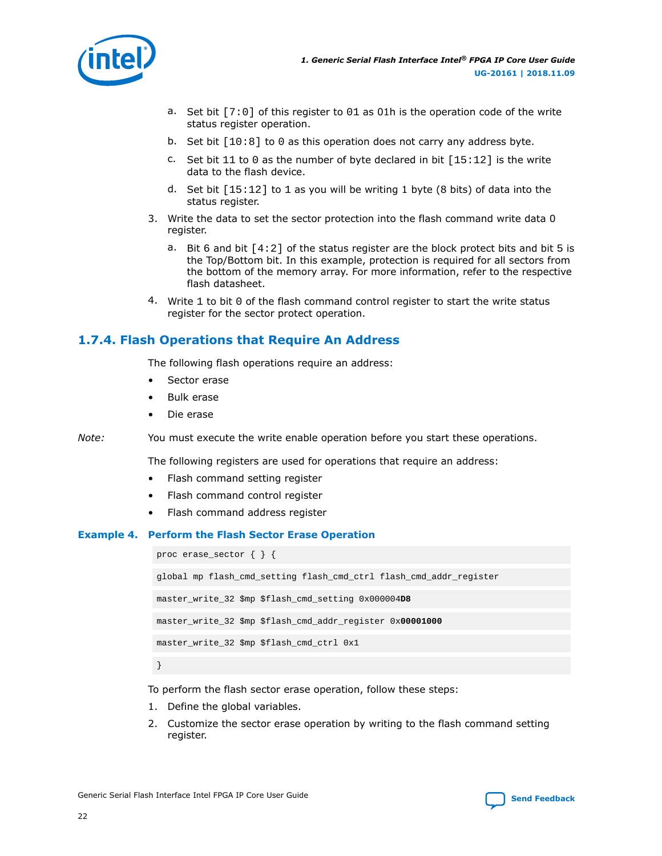<span id="page-21-0"></span>

- a. Set bit  $[7:0]$  of this register to 01 as 01h is the operation code of the write status register operation.
- b. Set bit  $[10:8]$  to 0 as this operation does not carry any address byte.
- c. Set bit  $11$  to 0 as the number of byte declared in bit  $[15:12]$  is the write data to the flash device.
- d. Set bit  $[15:12]$  to 1 as you will be writing 1 byte (8 bits) of data into the status register.
- 3. Write the data to set the sector protection into the flash command write data 0 register.
	- a. Bit 6 and bit  $[4:2]$  of the status register are the block protect bits and bit 5 is the Top/Bottom bit. In this example, protection is required for all sectors from the bottom of the memory array. For more information, refer to the respective flash datasheet.
- 4. Write 1 to bit 0 of the flash command control register to start the write status register for the sector protect operation.

## **1.7.4. Flash Operations that Require An Address**

The following flash operations require an address:

- Sector erase
- Bulk erase
- Die erase

*Note:* You must execute the write enable operation before you start these operations.

The following registers are used for operations that require an address:

- Flash command setting register
- Flash command control register
- Flash command address register

#### **Example 4. Perform the Flash Sector Erase Operation**

proc erase\_sector { } { global mp flash\_cmd\_setting flash\_cmd\_ctrl flash\_cmd\_addr\_register master\_write\_32 \$mp \$flash\_cmd\_setting 0x000004**D8** master\_write\_32 \$mp \$flash\_cmd\_addr\_register 0x**00001000** master\_write\_32 \$mp \$flash\_cmd\_ctrl 0x1 }

To perform the flash sector erase operation, follow these steps:

- 1. Define the global variables.
- 2. Customize the sector erase operation by writing to the flash command setting register.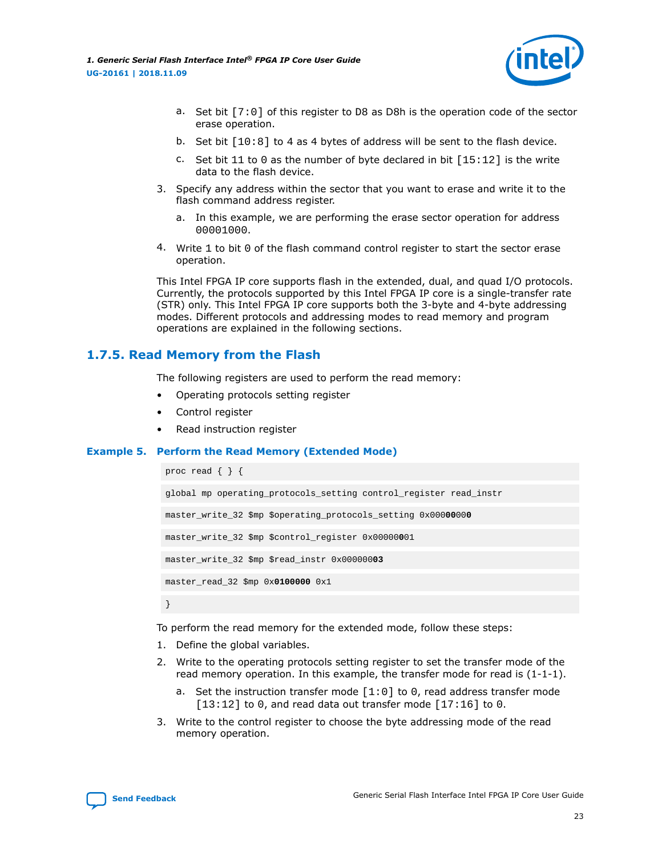<span id="page-22-0"></span>*1. Generic Serial Flash Interface Intel® FPGA IP Core User Guide* **UG-20161 | 2018.11.09**



- a. Set bit  $[7:0]$  of this register to D8 as D8h is the operation code of the sector erase operation.
- b. Set bit [10:8] to 4 as 4 bytes of address will be sent to the flash device.
- c. Set bit 11 to 0 as the number of byte declared in bit  $[15:12]$  is the write data to the flash device.
- 3. Specify any address within the sector that you want to erase and write it to the flash command address register.
	- a. In this example, we are performing the erase sector operation for address 00001000.
- 4. Write 1 to bit 0 of the flash command control register to start the sector erase operation.

This Intel FPGA IP core supports flash in the extended, dual, and quad I/O protocols. Currently, the protocols supported by this Intel FPGA IP core is a single-transfer rate (STR) only. This Intel FPGA IP core supports both the 3-byte and 4-byte addressing modes. Different protocols and addressing modes to read memory and program operations are explained in the following sections.

#### **1.7.5. Read Memory from the Flash**

The following registers are used to perform the read memory:

- Operating protocols setting register
- Control register
- Read instruction register

#### **Example 5. Perform the Read Memory (Extended Mode)**

```
proc read { } {
```

```
global mp operating_protocols_setting control_register read_instr
master_write_32 $mp $operating_protocols_setting 0x00000000
master_write_32 $mp $control_register 0x00000001
master_write_32 $mp $read_instr 0x00000003
master_read_32 $mp 0x0100000 0x1
}
```
To perform the read memory for the extended mode, follow these steps:

- 1. Define the global variables.
- 2. Write to the operating protocols setting register to set the transfer mode of the read memory operation. In this example, the transfer mode for read is  $(1-1-1)$ .
	- a. Set the instruction transfer mode [1:0] to 0, read address transfer mode  $[13:12]$  to 0, and read data out transfer mode  $[17:16]$  to 0.
- 3. Write to the control register to choose the byte addressing mode of the read memory operation.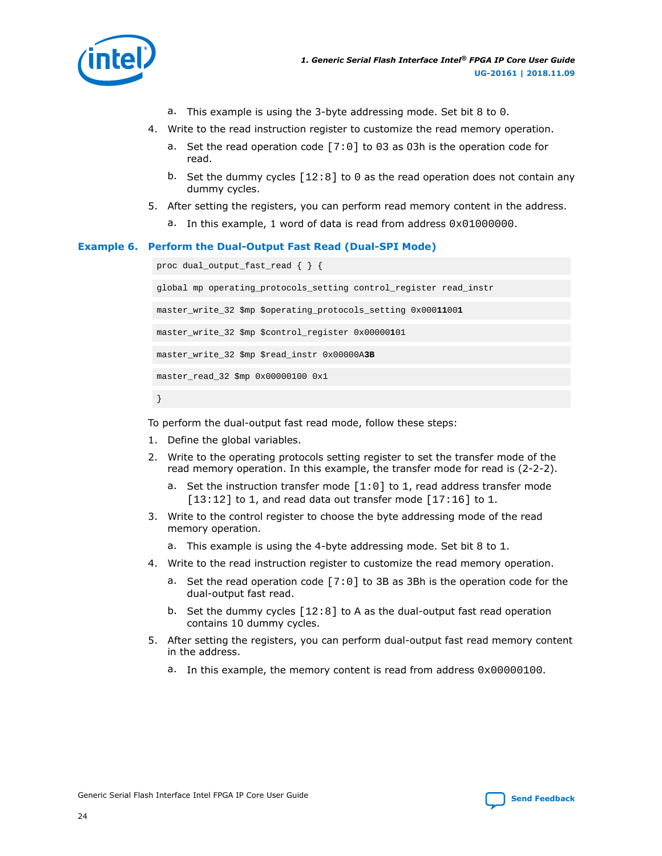

- a. This example is using the 3-byte addressing mode. Set bit 8 to 0.
- 4. Write to the read instruction register to customize the read memory operation.
	- a. Set the read operation code [7:0] to 03 as 03h is the operation code for read.
	- b. Set the dummy cycles  $[12:8]$  to 0 as the read operation does not contain any dummy cycles.
- 5. After setting the registers, you can perform read memory content in the address.
	- a. In this example, 1 word of data is read from address  $0 \times 010000000$ .

#### **Example 6. Perform the Dual-Output Fast Read (Dual-SPI Mode)**

```
proc dual_output_fast_read { } {
global mp operating_protocols_setting control_register read_instr
master_write_32 $mp $operating_protocols_setting 0x00011001
master_write_32 $mp $control_register 0x00000101
master_write_32 $mp $read_instr 0x00000A3B
master_read_32 $mp 0x00000100 0x1
```
}

To perform the dual-output fast read mode, follow these steps:

- 1. Define the global variables.
- 2. Write to the operating protocols setting register to set the transfer mode of the read memory operation. In this example, the transfer mode for read is (2-2-2).
	- a. Set the instruction transfer mode  $[1:0]$  to 1, read address transfer mode  $[13:12]$  to 1, and read data out transfer mode  $[17:16]$  to 1.
- 3. Write to the control register to choose the byte addressing mode of the read memory operation.
	- a. This example is using the 4-byte addressing mode. Set bit 8 to 1.
- 4. Write to the read instruction register to customize the read memory operation.
	- a. Set the read operation code [7:0] to 3B as 3Bh is the operation code for the dual-output fast read.
	- b. Set the dummy cycles [12:8] to A as the dual-output fast read operation contains 10 dummy cycles.
- 5. After setting the registers, you can perform dual-output fast read memory content in the address.
	- a. In this example, the memory content is read from address  $0 \times 00000100$ .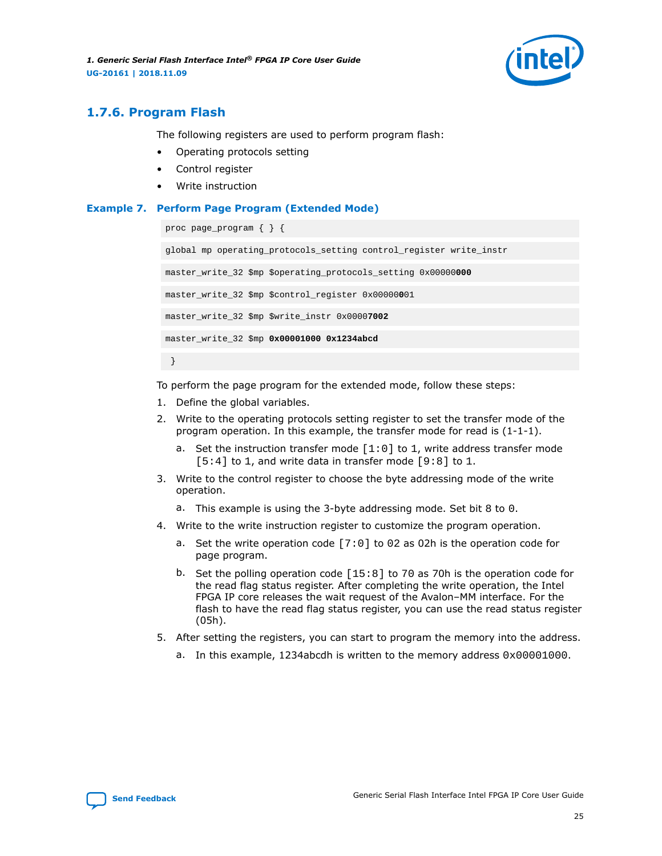<span id="page-24-0"></span>*1. Generic Serial Flash Interface Intel® FPGA IP Core User Guide* **UG-20161 | 2018.11.09**



## **1.7.6. Program Flash**

The following registers are used to perform program flash:

- Operating protocols setting
- Control register
- Write instruction

#### **Example 7. Perform Page Program (Extended Mode)**

```
proc page_program { } {
global mp operating_protocols_setting control_register write_instr
master_write_32 $mp $operating_protocols_setting 0x00000000
master_write_32 $mp $control_register 0x00000001
```
master\_write\_32 \$mp \$write\_instr 0x0000**7002**

master\_write\_32 \$mp **0x00001000 0x1234abcd**

}

To perform the page program for the extended mode, follow these steps:

- 1. Define the global variables.
- 2. Write to the operating protocols setting register to set the transfer mode of the program operation. In this example, the transfer mode for read is (1-1-1).
	- a. Set the instruction transfer mode  $[1:0]$  to 1, write address transfer mode  $[5:4]$  to 1, and write data in transfer mode  $[9:8]$  to 1.
- 3. Write to the control register to choose the byte addressing mode of the write operation.
	- a. This example is using the 3-byte addressing mode. Set bit 8 to 0.
- 4. Write to the write instruction register to customize the program operation.
	- a. Set the write operation code [7:0] to 02 as 02h is the operation code for page program.
	- b. Set the polling operation code [15:8] to 70 as 70h is the operation code for the read flag status register. After completing the write operation, the Intel FPGA IP core releases the wait request of the Avalon–MM interface. For the flash to have the read flag status register, you can use the read status register (05h).
- 5. After setting the registers, you can start to program the memory into the address.
	- a. In this example, 1234abcdh is written to the memory address 0x00001000.

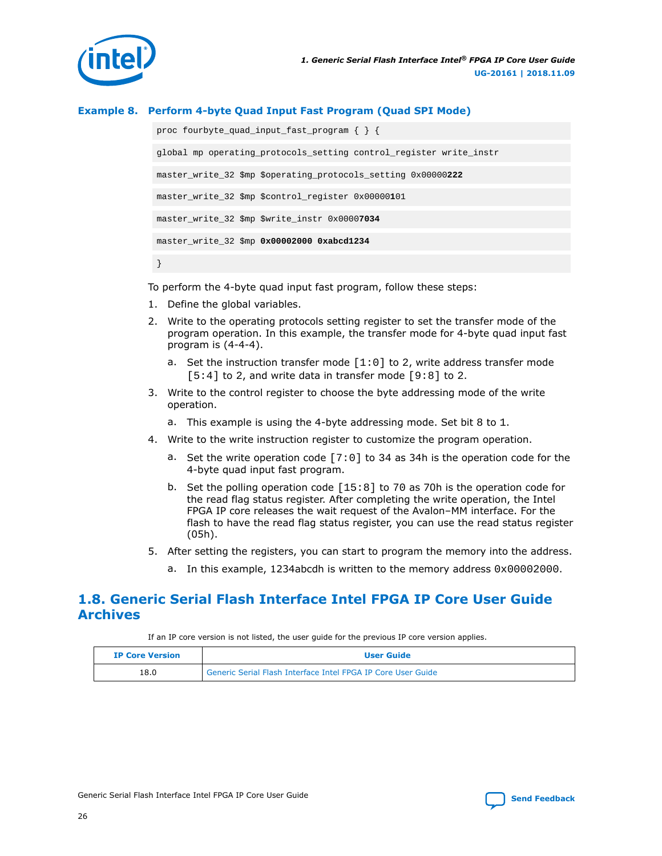<span id="page-25-0"></span>

#### **Example 8. Perform 4-byte Quad Input Fast Program (Quad SPI Mode)**

proc fourbyte\_quad\_input\_fast\_program { } { global mp operating\_protocols\_setting control\_register write\_instr master\_write\_32 \$mp \$operating\_protocols\_setting 0x00000**222** master\_write\_32 \$mp \$control\_register 0x00000**1**01 master\_write\_32 \$mp \$write\_instr 0x0000**7034** master\_write\_32 \$mp **0x00002000 0xabcd1234** }

To perform the 4-byte quad input fast program, follow these steps:

- 1. Define the global variables.
- 2. Write to the operating protocols setting register to set the transfer mode of the program operation. In this example, the transfer mode for 4-byte quad input fast program is (4-4-4).
	- a. Set the instruction transfer mode  $[1:0]$  to 2, write address transfer mode  $[5:4]$  to 2, and write data in transfer mode  $[9:8]$  to 2.
- 3. Write to the control register to choose the byte addressing mode of the write operation.
	- a. This example is using the 4-byte addressing mode. Set bit 8 to 1.
- 4. Write to the write instruction register to customize the program operation.
	- a. Set the write operation code [7:0] to 34 as 34h is the operation code for the 4-byte quad input fast program.
	- b. Set the polling operation code [15:8] to 70 as 70h is the operation code for the read flag status register. After completing the write operation, the Intel FPGA IP core releases the wait request of the Avalon–MM interface. For the flash to have the read flag status register, you can use the read status register (05h).
- 5. After setting the registers, you can start to program the memory into the address.
	- a. In this example, 1234abcdh is written to the memory address  $0 \times 00002000$ .

## **1.8. Generic Serial Flash Interface Intel FPGA IP Core User Guide Archives**

If an IP core version is not listed, the user guide for the previous IP core version applies.

| <b>IP Core Version</b> | <b>User Guide</b>                                            |  |
|------------------------|--------------------------------------------------------------|--|
| 18.0                   | Generic Serial Flash Interface Intel FPGA IP Core User Guide |  |